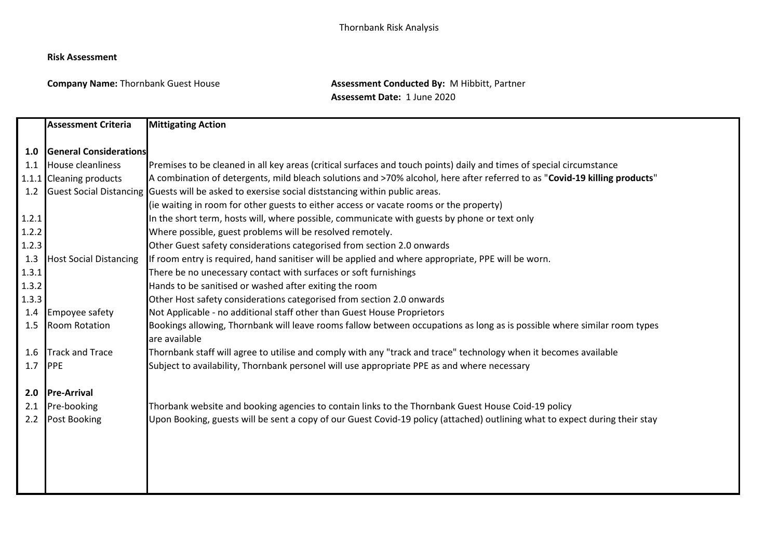## **Risk Assessment**

**Company Name:** Thornbank Guest House **Assessment Conducted By:** M Hibbitt, Partner **Assessemt Date:** 1 June 2020

|       | <b>Assessment Criteria</b>    | <b>Mittigating Action</b>                                                                                                                 |
|-------|-------------------------------|-------------------------------------------------------------------------------------------------------------------------------------------|
|       |                               |                                                                                                                                           |
| 1.0   | <b>General Considerations</b> |                                                                                                                                           |
| 1.1   | <b>House cleanliness</b>      | Premises to be cleaned in all key areas (critical surfaces and touch points) daily and times of special circumstance                      |
|       | 1.1.1 Cleaning products       | A combination of detergents, mild bleach solutions and >70% alcohol, here after referred to as "Covid-19 killing products"                |
| 1.2   |                               | Guest Social Distancing Guests will be asked to exersise social diststancing within public areas.                                         |
|       |                               | (ie waiting in room for other guests to either access or vacate rooms or the property)                                                    |
| 1.2.1 |                               | In the short term, hosts will, where possible, communicate with guests by phone or text only                                              |
| 1.2.2 |                               | Where possible, guest problems will be resolved remotely.                                                                                 |
| 1.2.3 |                               | Other Guest safety considerations categorised from section 2.0 onwards                                                                    |
| 1.3   | <b>Host Social Distancing</b> | If room entry is required, hand sanitiser will be applied and where appropriate, PPE will be worn.                                        |
| 1.3.1 |                               | There be no unecessary contact with surfaces or soft furnishings                                                                          |
| 1.3.2 |                               | Hands to be sanitised or washed after exiting the room                                                                                    |
| 1.3.3 |                               | Other Host safety considerations categorised from section 2.0 onwards                                                                     |
| 1.4   | Empoyee safety                | Not Applicable - no additional staff other than Guest House Proprietors                                                                   |
| 1.5   | <b>Room Rotation</b>          | Bookings allowing, Thornbank will leave rooms fallow between occupations as long as is possible where similar room types<br>are available |
| 1.6   | <b>Track and Trace</b>        | Thornbank staff will agree to utilise and comply with any "track and trace" technology when it becomes available                          |
| 1.7   | <b>PPE</b>                    | Subject to availability, Thornbank personel will use appropriate PPE as and where necessary                                               |
| 2.0   | <b>Pre-Arrival</b>            |                                                                                                                                           |
| 2.1   | Pre-booking                   | Thorbank website and booking agencies to contain links to the Thornbank Guest House Coid-19 policy                                        |
| 2.2   | Post Booking                  | Upon Booking, guests will be sent a copy of our Guest Covid-19 policy (attached) outlining what to expect during their stay               |
|       |                               |                                                                                                                                           |
|       |                               |                                                                                                                                           |
|       |                               |                                                                                                                                           |
|       |                               |                                                                                                                                           |
|       |                               |                                                                                                                                           |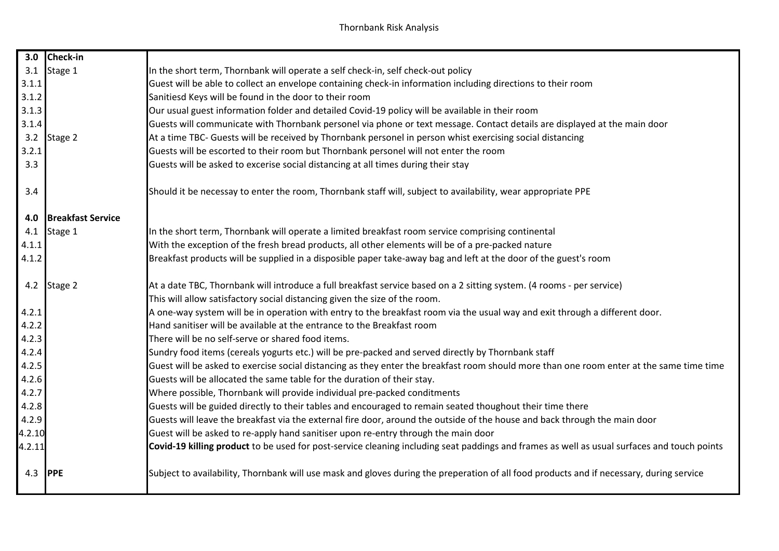| 3.0            | Check-in                 |                                                                                                                                             |
|----------------|--------------------------|---------------------------------------------------------------------------------------------------------------------------------------------|
| 3.1            | Stage 1                  | In the short term, Thornbank will operate a self check-in, self check-out policy                                                            |
| 3.1.1          |                          | Guest will be able to collect an envelope containing check-in information including directions to their room                                |
| 3.1.2          |                          | Sanitiesd Keys will be found in the door to their room                                                                                      |
| 3.1.3          |                          | Our usual guest information folder and detailed Covid-19 policy will be available in their room                                             |
| 3.1.4          |                          | Guests will communicate with Thornbank personel via phone or text message. Contact details are displayed at the main door                   |
|                | 3.2 Stage 2              | At a time TBC- Guests will be received by Thornbank personel in person whist exercising social distancing                                   |
| 3.2.1          |                          | Guests will be escorted to their room but Thornbank personel will not enter the room                                                        |
| 3.3            |                          | Guests will be asked to excerise social distancing at all times during their stay                                                           |
| 3.4            |                          | Should it be necessay to enter the room, Thornbank staff will, subject to availability, wear appropriate PPE                                |
| 4.0            | <b>Breakfast Service</b> |                                                                                                                                             |
| 4.1            | Stage 1                  | In the short term, Thornbank will operate a limited breakfast room service comprising continental                                           |
| 4.1.1          |                          | With the exception of the fresh bread products, all other elements will be of a pre-packed nature                                           |
| 4.1.2          |                          | Breakfast products will be supplied in a disposible paper take-away bag and left at the door of the guest's room                            |
|                | 4.2 Stage 2              | At a date TBC, Thornbank will introduce a full breakfast service based on a 2 sitting system. (4 rooms - per service)                       |
|                |                          | This will allow satisfactory social distancing given the size of the room.                                                                  |
| 4.2.1          |                          | A one-way system will be in operation with entry to the breakfast room via the usual way and exit through a different door.                 |
| 4.2.2          |                          | Hand sanitiser will be available at the entrance to the Breakfast room                                                                      |
| 4.2.3          |                          | There will be no self-serve or shared food items.                                                                                           |
| 4.2.4          |                          | Sundry food items (cereals yogurts etc.) will be pre-packed and served directly by Thornbank staff                                          |
| 4.2.5          |                          | Guest will be asked to exercise social distancing as they enter the breakfast room should more than one room enter at the same time time    |
| 4.2.6          |                          | Guests will be allocated the same table for the duration of their stay.                                                                     |
| 4.2.7          |                          | Where possible, Thornbank will provide individual pre-packed conditments                                                                    |
| 4.2.8          |                          | Guests will be guided directly to their tables and encouraged to remain seated thoughout their time there                                   |
| 4.2.9          |                          | Guests will leave the breakfast via the external fire door, around the outside of the house and back through the main door                  |
| 4.2.10         |                          | Guest will be asked to re-apply hand sanitiser upon re-entry through the main door                                                          |
| 4.2.11         |                          | Covid-19 killing product to be used for post-service cleaning including seat paddings and frames as well as usual surfaces and touch points |
| 4.3 <b>PPE</b> |                          | Subject to availability, Thornbank will use mask and gloves during the preperation of all food products and if necessary, during service    |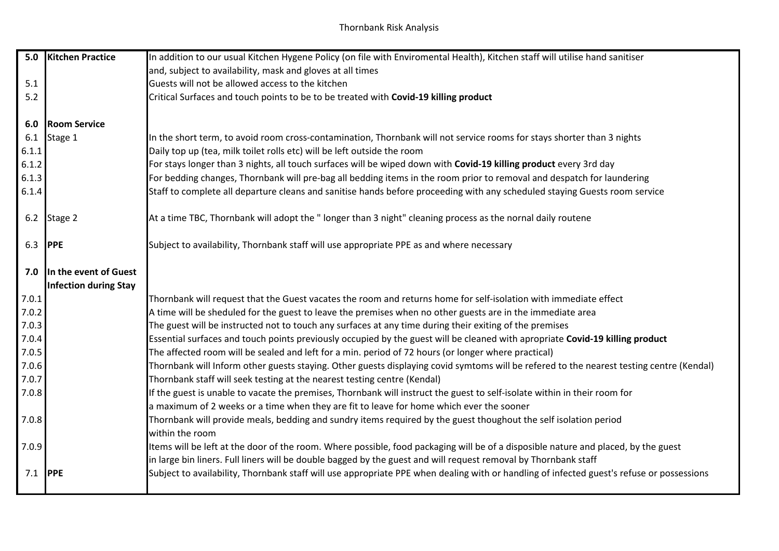| 5.0   | <b>Kitchen Practice</b>      | In addition to our usual Kitchen Hygene Policy (on file with Enviromental Health), Kitchen staff will utilise hand sanitiser              |
|-------|------------------------------|-------------------------------------------------------------------------------------------------------------------------------------------|
|       |                              | and, subject to availability, mask and gloves at all times                                                                                |
| 5.1   |                              | Guests will not be allowed access to the kitchen                                                                                          |
| 5.2   |                              | Critical Surfaces and touch points to be to be treated with Covid-19 killing product                                                      |
|       |                              |                                                                                                                                           |
| 6.0   | <b>Room Service</b>          |                                                                                                                                           |
| 6.1   | Stage 1                      | In the short term, to avoid room cross-contamination, Thornbank will not service rooms for stays shorter than 3 nights                    |
| 6.1.1 |                              | Daily top up (tea, milk toilet rolls etc) will be left outside the room                                                                   |
| 6.1.2 |                              | For stays longer than 3 nights, all touch surfaces will be wiped down with Covid-19 killing product every 3rd day                         |
| 6.1.3 |                              | For bedding changes, Thornbank will pre-bag all bedding items in the room prior to removal and despatch for laundering                    |
| 6.1.4 |                              | Staff to complete all departure cleans and sanitise hands before proceeding with any scheduled staying Guests room service                |
|       |                              |                                                                                                                                           |
| 6.2   | Stage 2                      | At a time TBC, Thornbank will adopt the "longer than 3 night" cleaning process as the nornal daily routene                                |
|       |                              |                                                                                                                                           |
| 6.3   | <b>PPE</b>                   | Subject to availability, Thornbank staff will use appropriate PPE as and where necessary                                                  |
| 7.0   | In the event of Guest        |                                                                                                                                           |
|       | <b>Infection during Stay</b> |                                                                                                                                           |
| 7.0.1 |                              | Thornbank will request that the Guest vacates the room and returns home for self-isolation with immediate effect                          |
| 7.0.2 |                              | A time will be sheduled for the guest to leave the premises when no other guests are in the immediate area                                |
| 7.0.3 |                              | The guest will be instructed not to touch any surfaces at any time during their exiting of the premises                                   |
| 7.0.4 |                              | Essential surfaces and touch points previously occupied by the guest will be cleaned with apropriate Covid-19 killing product             |
| 7.0.5 |                              | The affected room will be sealed and left for a min. period of 72 hours (or longer where practical)                                       |
| 7.0.6 |                              | Thornbank will Inform other guests staying. Other guests displaying covid symtoms will be refered to the nearest testing centre (Kendal)  |
| 7.0.7 |                              | Thornbank staff will seek testing at the nearest testing centre (Kendal)                                                                  |
| 7.0.8 |                              | If the guest is unable to vacate the premises, Thornbank will instruct the guest to self-isolate within in their room for                 |
|       |                              | a maximum of 2 weeks or a time when they are fit to leave for home which ever the sooner                                                  |
| 7.0.8 |                              | Thornbank will provide meals, bedding and sundry items required by the guest thoughout the self isolation period                          |
|       |                              | within the room                                                                                                                           |
| 7.0.9 |                              | Items will be left at the door of the room. Where possible, food packaging will be of a disposible nature and placed, by the guest        |
|       |                              | in large bin liners. Full liners will be double bagged by the guest and will request removal by Thornbank staff                           |
|       |                              |                                                                                                                                           |
| 7.1   | <b>PPE</b>                   | Subject to availability, Thornbank staff will use appropriate PPE when dealing with or handling of infected guest's refuse or possessions |